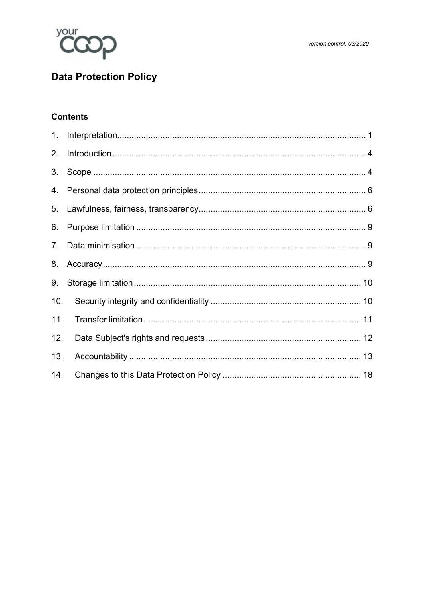

# **Data Protection Policy**

# **Contents**

| 1.  |  |
|-----|--|
| 2.  |  |
| 3.  |  |
|     |  |
|     |  |
| 6.  |  |
| 7.  |  |
|     |  |
| 9.  |  |
| 10. |  |
| 11. |  |
| 12. |  |
| 13. |  |
| 14. |  |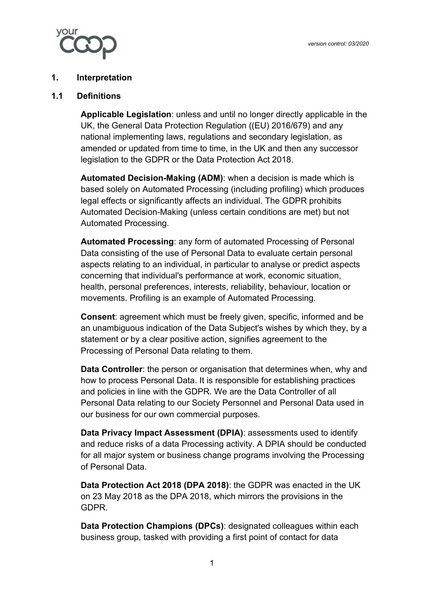

#### <span id="page-1-0"></span>**1. Interpretation**

#### **1.1 Definitions**

**Applicable Legislation**: unless and until no longer directly applicable in the UK, the General Data Protection Regulation ((EU) 2016/679) and any national implementing laws, regulations and secondary legislation, as amended or updated from time to time, in the UK and then any successor legislation to the GDPR or the Data Protection Act 2018.

**Automated Decision-Making (ADM)**: when a decision is made which is based solely on Automated Processing (including profiling) which produces legal effects or significantly affects an individual. The GDPR prohibits Automated Decision-Making (unless certain conditions are met) but not Automated Processing.

**Automated Processing**: any form of automated Processing of Personal Data consisting of the use of Personal Data to evaluate certain personal aspects relating to an individual, in particular to analyse or predict aspects concerning that individual's performance at work, economic situation, health, personal preferences, interests, reliability, behaviour, location or movements. Profiling is an example of Automated Processing.

**Consent**: agreement which must be freely given, specific, informed and be an unambiguous indication of the Data Subject's wishes by which they, by a statement or by a clear positive action, signifies agreement to the Processing of Personal Data relating to them.

**Data Controller**: the person or organisation that determines when, why and how to process Personal Data. It is responsible for establishing practices and policies in line with the GDPR. We are the Data Controller of all Personal Data relating to our Society Personnel and Personal Data used in our business for our own commercial purposes.

**Data Privacy Impact Assessment (DPIA)**: assessments used to identify and reduce risks of a data Processing activity. A DPIA should be conducted for all major system or business change programs involving the Processing of Personal Data.

**Data Protection Act 2018 (DPA 2018)**: the GDPR was enacted in the UK on 23 May 2018 as the DPA 2018, which mirrors the provisions in the GDPR.

**Data Protection Champions (DPCs)**: designated colleagues within each business group, tasked with providing a first point of contact for data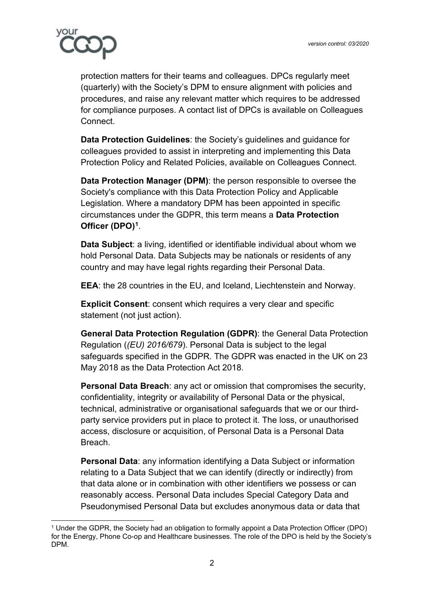

protection matters for their teams and colleagues. DPCs regularly meet (quarterly) with the Society's DPM to ensure alignment with policies and procedures, and raise any relevant matter which requires to be addressed for compliance purposes. A contact list of DPCs is available on Colleagues Connect.

**Data Protection Guidelines**: the Society's guidelines and guidance for colleagues provided to assist in interpreting and implementing this Data Protection Policy and Related Policies, available on Colleagues Connect.

**Data Protection Manager (DPM)**: the person responsible to oversee the Society's compliance with this Data Protection Policy and Applicable Legislation. Where a mandatory DPM has been appointed in specific circumstances under the GDPR, this term means a **Data Protection Officer (DPO)[1](#page-2-0)**.

**Data Subject**: a living, identified or identifiable individual about whom we hold Personal Data. Data Subjects may be nationals or residents of any country and may have legal rights regarding their Personal Data.

**EEA**: the 28 countries in the EU, and Iceland, Liechtenstein and Norway.

**Explicit Consent**: consent which requires a very clear and specific statement (not just action).

**General Data Protection Regulation (GDPR)**: the General Data Protection Regulation (*(EU) 2016/679*). Personal Data is subject to the legal safeguards specified in the GDPR. The GDPR was enacted in the UK on 23 May 2018 as the Data Protection Act 2018.

**Personal Data Breach**: any act or omission that compromises the security, confidentiality, integrity or availability of Personal Data or the physical, technical, administrative or organisational safeguards that we or our thirdparty service providers put in place to protect it. The loss, or unauthorised access, disclosure or acquisition, of Personal Data is a Personal Data **Breach** 

**Personal Data**: any information identifying a Data Subject or information relating to a Data Subject that we can identify (directly or indirectly) from that data alone or in combination with other identifiers we possess or can reasonably access. Personal Data includes Special Category Data and Pseudonymised Personal Data but excludes anonymous data or data that

<span id="page-2-0"></span><sup>1</sup> Under the GDPR, the Society had an obligation to formally appoint a Data Protection Officer (DPO) for the Energy, Phone Co-op and Healthcare businesses. The role of the DPO is held by the Society's DPM.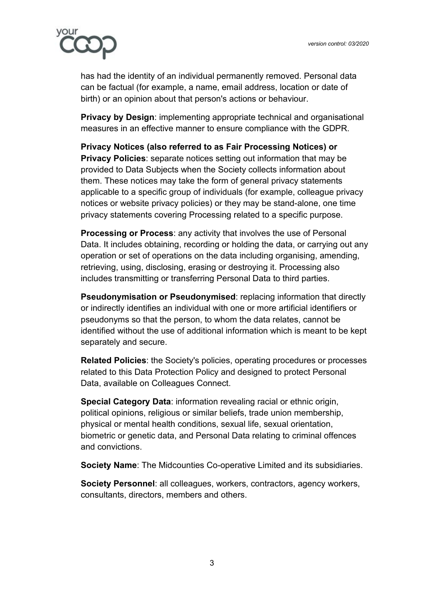

has had the identity of an individual permanently removed. Personal data can be factual (for example, a name, email address, location or date of birth) or an opinion about that person's actions or behaviour.

**Privacy by Design**: implementing appropriate technical and organisational measures in an effective manner to ensure compliance with the GDPR.

**Privacy Notices (also referred to as Fair Processing Notices) or Privacy Policies**: separate notices setting out information that may be provided to Data Subjects when the Society collects information about them. These notices may take the form of general privacy statements applicable to a specific group of individuals (for example, colleague privacy notices or website privacy policies) or they may be stand-alone, one time privacy statements covering Processing related to a specific purpose.

**Processing or Process**: any activity that involves the use of Personal Data. It includes obtaining, recording or holding the data, or carrying out any operation or set of operations on the data including organising, amending, retrieving, using, disclosing, erasing or destroying it. Processing also includes transmitting or transferring Personal Data to third parties.

**Pseudonymisation or Pseudonymised**: replacing information that directly or indirectly identifies an individual with one or more artificial identifiers or pseudonyms so that the person, to whom the data relates, cannot be identified without the use of additional information which is meant to be kept separately and secure.

**Related Policies**: the Society's policies, operating procedures or processes related to this Data Protection Policy and designed to protect Personal Data, available on Colleagues Connect.

**Special Category Data**: information revealing racial or ethnic origin, political opinions, religious or similar beliefs, trade union membership, physical or mental health conditions, sexual life, sexual orientation, biometric or genetic data, and Personal Data relating to criminal offences and convictions.

**Society Name**: The Midcounties Co-operative Limited and its subsidiaries.

**Society Personnel**: all colleagues, workers, contractors, agency workers, consultants, directors, members and others.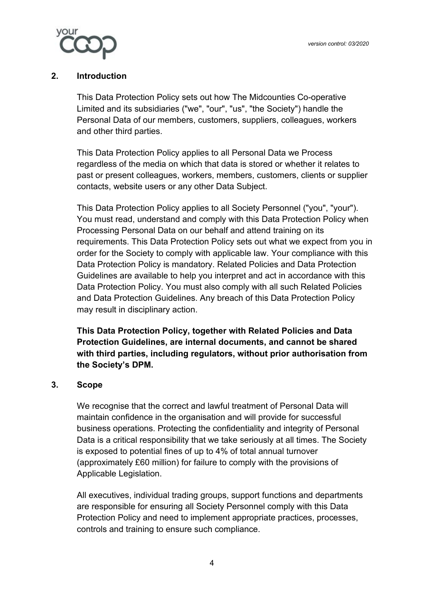

## **2. Introduction**

<span id="page-4-0"></span>This Data Protection Policy sets out how The Midcounties Co-operative Limited and its subsidiaries ("we", "our", "us", "the Society") handle the Personal Data of our members, customers, suppliers, colleagues, workers and other third parties.

This Data Protection Policy applies to all Personal Data we Process regardless of the media on which that data is stored or whether it relates to past or present colleagues, workers, members, customers, clients or supplier contacts, website users or any other Data Subject.

This Data Protection Policy applies to all Society Personnel ("you", "your"). You must read, understand and comply with this Data Protection Policy when Processing Personal Data on our behalf and attend training on its requirements. This Data Protection Policy sets out what we expect from you in order for the Society to comply with applicable law. Your compliance with this Data Protection Policy is mandatory. Related Policies and Data Protection Guidelines are available to help you interpret and act in accordance with this Data Protection Policy. You must also comply with all such Related Policies and Data Protection Guidelines. Any breach of this Data Protection Policy may result in disciplinary action.

**This Data Protection Policy, together with Related Policies and Data Protection Guidelines, are internal documents, and cannot be shared with third parties, including regulators, without prior authorisation from the Society's DPM.**

## **3. Scope**

<span id="page-4-1"></span>We recognise that the correct and lawful treatment of Personal Data will maintain confidence in the organisation and will provide for successful business operations. Protecting the confidentiality and integrity of Personal Data is a critical responsibility that we take seriously at all times. The Society is exposed to potential fines of up to 4% of total annual turnover (approximately £60 million) for failure to comply with the provisions of Applicable Legislation.

All executives, individual trading groups, support functions and departments are responsible for ensuring all Society Personnel comply with this Data Protection Policy and need to implement appropriate practices, processes, controls and training to ensure such compliance.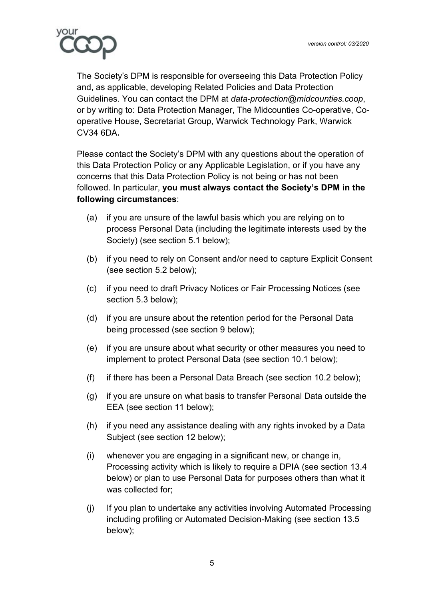

The Society's DPM is responsible for overseeing this Data Protection Policy and, as applicable, developing Related Policies and Data Protection Guidelines. You can contact the DPM at *[data-protection@midcounties.coop](mailto:data-protection@midcounties.coop)*, or by writing to: Data Protection Manager, The Midcounties Co-operative, Cooperative House, Secretariat Group, Warwick Technology Park, Warwick CV34 6DA**.**

Please contact the Society's DPM with any questions about the operation of this Data Protection Policy or any Applicable Legislation, or if you have any concerns that this Data Protection Policy is not being or has not been followed. In particular, **you must always contact the Society's DPM in the following circumstances**:

- (a) if you are unsure of the lawful basis which you are relying on to process Personal Data (including the legitimate interests used by the Society) (see section 5.1 below);
- (b) if you need to rely on Consent and/or need to capture Explicit Consent (see section 5.2 below);
- (c) if you need to draft Privacy Notices or Fair Processing Notices (see section 5.3 below);
- (d) if you are unsure about the retention period for the Personal Data being processed (see section 9 below);
- (e) if you are unsure about what security or other measures you need to implement to protect Personal Data (see section 10.1 below);
- (f) if there has been a Personal Data Breach (see section 10.2 below);
- (g) if you are unsure on what basis to transfer Personal Data outside the EEA (see section 11 below);
- (h) if you need any assistance dealing with any rights invoked by a Data Subject (see section 12 below);
- (i) whenever you are engaging in a significant new, or change in, Processing activity which is likely to require a DPIA (see section 13.4 below) or plan to use Personal Data for purposes others than what it was collected for;
- (j) If you plan to undertake any activities involving Automated Processing including profiling or Automated Decision-Making (see section 13.5 below);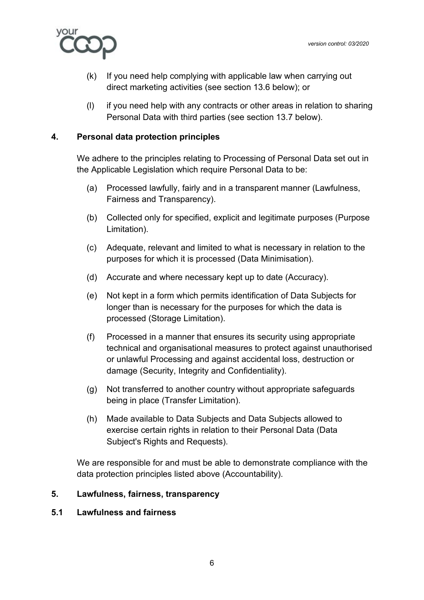

- (k) If you need help complying with applicable law when carrying out direct marketing activities (see section 13.6 below); or
- (l) if you need help with any contracts or other areas in relation to sharing Personal Data with third parties (see section 13.7 below).

## **4. Personal data protection principles**

<span id="page-6-0"></span>We adhere to the principles relating to Processing of Personal Data set out in the Applicable Legislation which require Personal Data to be:

- (a) Processed lawfully, fairly and in a transparent manner (Lawfulness, Fairness and Transparency).
- (b) Collected only for specified, explicit and legitimate purposes (Purpose Limitation).
- (c) Adequate, relevant and limited to what is necessary in relation to the purposes for which it is processed (Data Minimisation).
- (d) Accurate and where necessary kept up to date (Accuracy).
- (e) Not kept in a form which permits identification of Data Subjects for longer than is necessary for the purposes for which the data is processed (Storage Limitation).
- (f) Processed in a manner that ensures its security using appropriate technical and organisational measures to protect against unauthorised or unlawful Processing and against accidental loss, destruction or damage (Security, Integrity and Confidentiality).
- (g) Not transferred to another country without appropriate safeguards being in place (Transfer Limitation).
- (h) Made available to Data Subjects and Data Subjects allowed to exercise certain rights in relation to their Personal Data (Data Subject's Rights and Requests).

We are responsible for and must be able to demonstrate compliance with the data protection principles listed above (Accountability).

## <span id="page-6-1"></span>**5. Lawfulness, fairness, transparency**

#### **5.1 Lawfulness and fairness**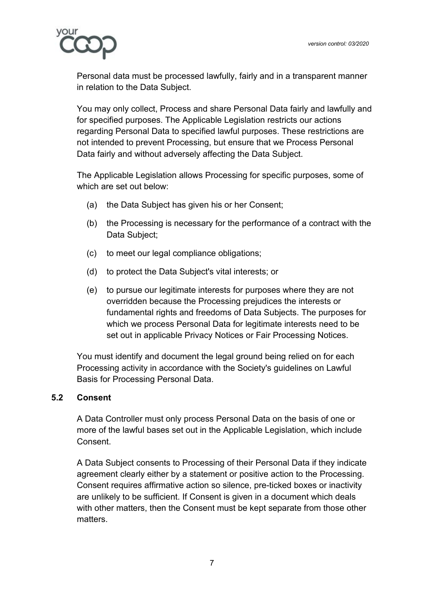

Personal data must be processed lawfully, fairly and in a transparent manner in relation to the Data Subject.

You may only collect, Process and share Personal Data fairly and lawfully and for specified purposes. The Applicable Legislation restricts our actions regarding Personal Data to specified lawful purposes. These restrictions are not intended to prevent Processing, but ensure that we Process Personal Data fairly and without adversely affecting the Data Subject.

The Applicable Legislation allows Processing for specific purposes, some of which are set out below:

- (a) the Data Subject has given his or her Consent;
- (b) the Processing is necessary for the performance of a contract with the Data Subject;
- (c) to meet our legal compliance obligations;
- (d) to protect the Data Subject's vital interests; or
- (e) to pursue our legitimate interests for purposes where they are not overridden because the Processing prejudices the interests or fundamental rights and freedoms of Data Subjects. The purposes for which we process Personal Data for legitimate interests need to be set out in applicable Privacy Notices or Fair Processing Notices.

You must identify and document the legal ground being relied on for each Processing activity in accordance with the Society's guidelines on Lawful Basis for Processing Personal Data.

## **5.2 Consent**

A Data Controller must only process Personal Data on the basis of one or more of the lawful bases set out in the Applicable Legislation, which include **Consent** 

A Data Subject consents to Processing of their Personal Data if they indicate agreement clearly either by a statement or positive action to the Processing. Consent requires affirmative action so silence, pre-ticked boxes or inactivity are unlikely to be sufficient. If Consent is given in a document which deals with other matters, then the Consent must be kept separate from those other matters.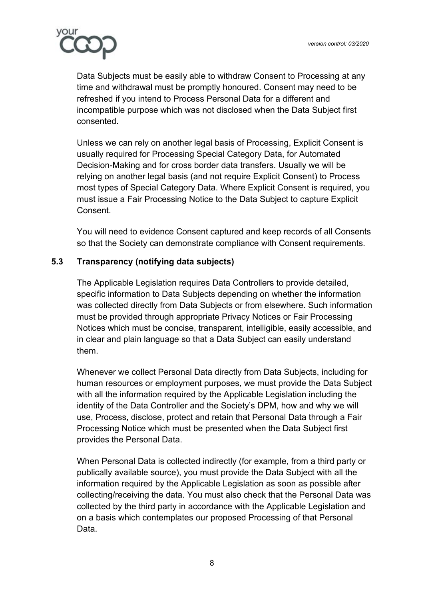

Data Subjects must be easily able to withdraw Consent to Processing at any time and withdrawal must be promptly honoured. Consent may need to be refreshed if you intend to Process Personal Data for a different and incompatible purpose which was not disclosed when the Data Subject first consented.

Unless we can rely on another legal basis of Processing, Explicit Consent is usually required for Processing Special Category Data, for Automated Decision-Making and for cross border data transfers. Usually we will be relying on another legal basis (and not require Explicit Consent) to Process most types of Special Category Data. Where Explicit Consent is required, you must issue a Fair Processing Notice to the Data Subject to capture Explicit Consent.

You will need to evidence Consent captured and keep records of all Consents so that the Society can demonstrate compliance with Consent requirements.

# **5.3 Transparency (notifying data subjects)**

The Applicable Legislation requires Data Controllers to provide detailed, specific information to Data Subjects depending on whether the information was collected directly from Data Subjects or from elsewhere. Such information must be provided through appropriate Privacy Notices or Fair Processing Notices which must be concise, transparent, intelligible, easily accessible, and in clear and plain language so that a Data Subject can easily understand them.

Whenever we collect Personal Data directly from Data Subjects, including for human resources or employment purposes, we must provide the Data Subject with all the information required by the Applicable Legislation including the identity of the Data Controller and the Society's DPM, how and why we will use, Process, disclose, protect and retain that Personal Data through a Fair Processing Notice which must be presented when the Data Subject first provides the Personal Data.

When Personal Data is collected indirectly (for example, from a third party or publically available source), you must provide the Data Subject with all the information required by the Applicable Legislation as soon as possible after collecting/receiving the data. You must also check that the Personal Data was collected by the third party in accordance with the Applicable Legislation and on a basis which contemplates our proposed Processing of that Personal Data.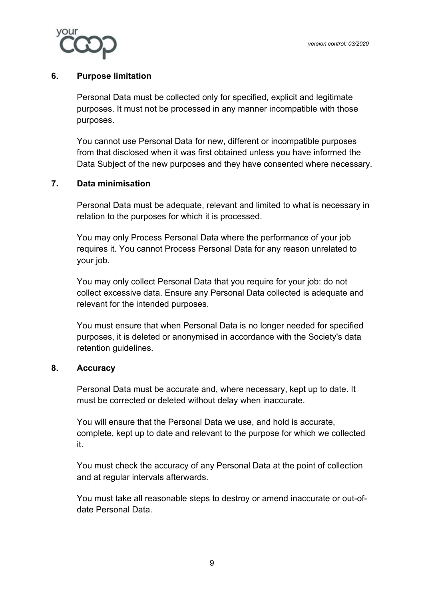

#### **6. Purpose limitation**

<span id="page-9-0"></span>Personal Data must be collected only for specified, explicit and legitimate purposes. It must not be processed in any manner incompatible with those purposes.

You cannot use Personal Data for new, different or incompatible purposes from that disclosed when it was first obtained unless you have informed the Data Subject of the new purposes and they have consented where necessary.

## **7. Data minimisation**

<span id="page-9-1"></span>Personal Data must be adequate, relevant and limited to what is necessary in relation to the purposes for which it is processed.

You may only Process Personal Data where the performance of your job requires it. You cannot Process Personal Data for any reason unrelated to your job.

You may only collect Personal Data that you require for your job: do not collect excessive data. Ensure any Personal Data collected is adequate and relevant for the intended purposes.

You must ensure that when Personal Data is no longer needed for specified purposes, it is deleted or anonymised in accordance with the Society's data retention guidelines.

#### **8. Accuracy**

<span id="page-9-2"></span>Personal Data must be accurate and, where necessary, kept up to date. It must be corrected or deleted without delay when inaccurate.

You will ensure that the Personal Data we use, and hold is accurate, complete, kept up to date and relevant to the purpose for which we collected it.

You must check the accuracy of any Personal Data at the point of collection and at regular intervals afterwards.

You must take all reasonable steps to destroy or amend inaccurate or out-ofdate Personal Data.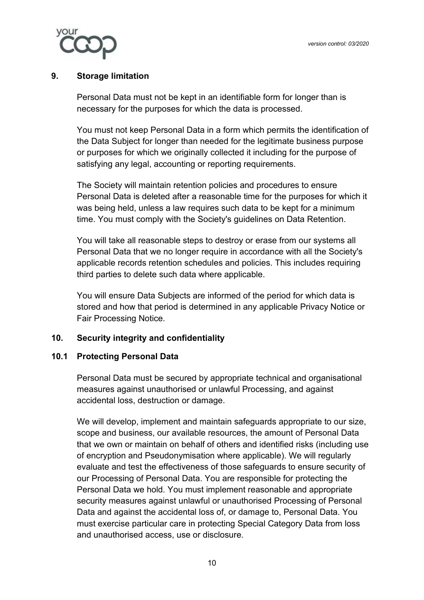

## **9. Storage limitation**

<span id="page-10-0"></span>Personal Data must not be kept in an identifiable form for longer than is necessary for the purposes for which the data is processed.

You must not keep Personal Data in a form which permits the identification of the Data Subject for longer than needed for the legitimate business purpose or purposes for which we originally collected it including for the purpose of satisfying any legal, accounting or reporting requirements.

The Society will maintain retention policies and procedures to ensure Personal Data is deleted after a reasonable time for the purposes for which it was being held, unless a law requires such data to be kept for a minimum time. You must comply with the Society's guidelines on Data Retention.

You will take all reasonable steps to destroy or erase from our systems all Personal Data that we no longer require in accordance with all the Society's applicable records retention schedules and policies. This includes requiring third parties to delete such data where applicable.

You will ensure Data Subjects are informed of the period for which data is stored and how that period is determined in any applicable Privacy Notice or Fair Processing Notice.

## <span id="page-10-1"></span>**10. Security integrity and confidentiality**

## **10.1 Protecting Personal Data**

Personal Data must be secured by appropriate technical and organisational measures against unauthorised or unlawful Processing, and against accidental loss, destruction or damage.

We will develop, implement and maintain safeguards appropriate to our size, scope and business, our available resources, the amount of Personal Data that we own or maintain on behalf of others and identified risks (including use of encryption and Pseudonymisation where applicable). We will regularly evaluate and test the effectiveness of those safeguards to ensure security of our Processing of Personal Data. You are responsible for protecting the Personal Data we hold. You must implement reasonable and appropriate security measures against unlawful or unauthorised Processing of Personal Data and against the accidental loss of, or damage to, Personal Data. You must exercise particular care in protecting Special Category Data from loss and unauthorised access, use or disclosure.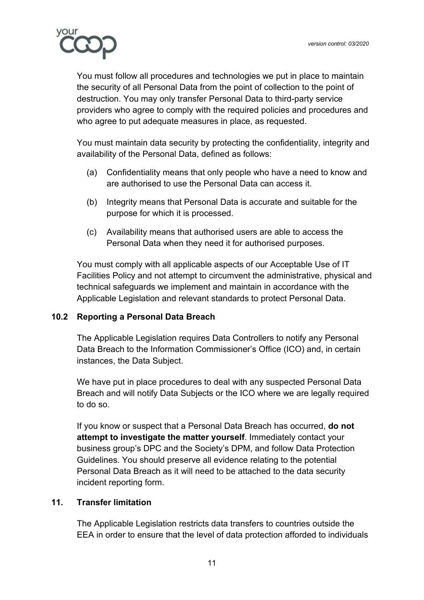

You must follow all procedures and technologies we put in place to maintain the security of all Personal Data from the point of collection to the point of destruction. You may only transfer Personal Data to third-party service providers who agree to comply with the required policies and procedures and who agree to put adequate measures in place, as requested.

You must maintain data security by protecting the confidentiality, integrity and availability of the Personal Data, defined as follows:

- (a) Confidentiality means that only people who have a need to know and are authorised to use the Personal Data can access it.
- (b) Integrity means that Personal Data is accurate and suitable for the purpose for which it is processed.
- (c) Availability means that authorised users are able to access the Personal Data when they need it for authorised purposes.

You must comply with all applicable aspects of our Acceptable Use of IT Facilities Policy and not attempt to circumvent the administrative, physical and technical safeguards we implement and maintain in accordance with the Applicable Legislation and relevant standards to protect Personal Data.

## **10.2 Reporting a Personal Data Breach**

The Applicable Legislation requires Data Controllers to notify any Personal Data Breach to the Information Commissioner's Office (ICO) and, in certain instances, the Data Subject.

We have put in place procedures to deal with any suspected Personal Data Breach and will notify Data Subjects or the ICO where we are legally required to do so.

If you know or suspect that a Personal Data Breach has occurred, **do not attempt to investigate the matter yourself**. Immediately contact your business group's DPC and the Society's DPM, and follow Data Protection Guidelines. You should preserve all evidence relating to the potential Personal Data Breach as it will need to be attached to the data security incident reporting form.

## **11. Transfer limitation**

<span id="page-11-0"></span>The Applicable Legislation restricts data transfers to countries outside the EEA in order to ensure that the level of data protection afforded to individuals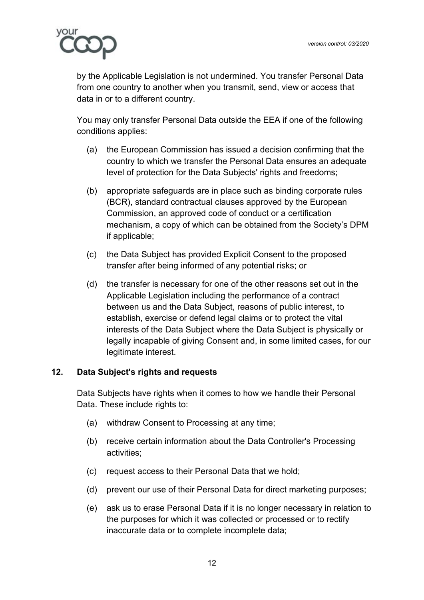

by the Applicable Legislation is not undermined. You transfer Personal Data from one country to another when you transmit, send, view or access that data in or to a different country.

You may only transfer Personal Data outside the EEA if one of the following conditions applies:

- (a) the European Commission has issued a decision confirming that the country to which we transfer the Personal Data ensures an adequate level of protection for the Data Subjects' rights and freedoms;
- (b) appropriate safeguards are in place such as binding corporate rules (BCR), standard contractual clauses approved by the European Commission, an approved code of conduct or a certification mechanism, a copy of which can be obtained from the Society's DPM if applicable;
- (c) the Data Subject has provided Explicit Consent to the proposed transfer after being informed of any potential risks; or
- (d) the transfer is necessary for one of the other reasons set out in the Applicable Legislation including the performance of a contract between us and the Data Subject, reasons of public interest, to establish, exercise or defend legal claims or to protect the vital interests of the Data Subject where the Data Subject is physically or legally incapable of giving Consent and, in some limited cases, for our legitimate interest.

## **12. Data Subject's rights and requests**

<span id="page-12-0"></span>Data Subjects have rights when it comes to how we handle their Personal Data. These include rights to:

- (a) withdraw Consent to Processing at any time;
- (b) receive certain information about the Data Controller's Processing activities;
- (c) request access to their Personal Data that we hold;
- (d) prevent our use of their Personal Data for direct marketing purposes;
- (e) ask us to erase Personal Data if it is no longer necessary in relation to the purposes for which it was collected or processed or to rectify inaccurate data or to complete incomplete data;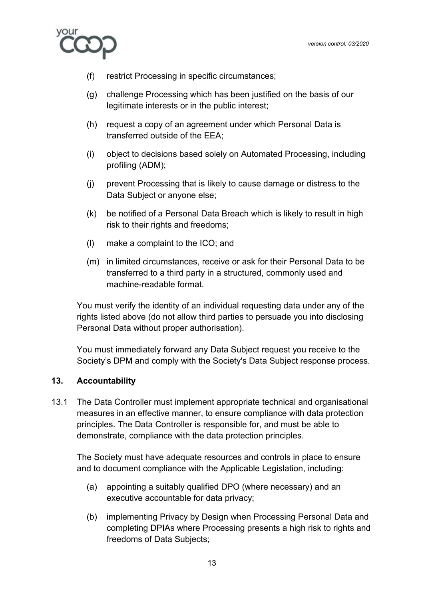

- (f) restrict Processing in specific circumstances;
- (g) challenge Processing which has been justified on the basis of our legitimate interests or in the public interest;
- (h) request a copy of an agreement under which Personal Data is transferred outside of the EEA;
- (i) object to decisions based solely on Automated Processing, including profiling (ADM);
- (j) prevent Processing that is likely to cause damage or distress to the Data Subject or anyone else;
- (k) be notified of a Personal Data Breach which is likely to result in high risk to their rights and freedoms;
- (l) make a complaint to the ICO; and
- (m) in limited circumstances, receive or ask for their Personal Data to be transferred to a third party in a structured, commonly used and machine-readable format.

You must verify the identity of an individual requesting data under any of the rights listed above (do not allow third parties to persuade you into disclosing Personal Data without proper authorisation).

You must immediately forward any Data Subject request you receive to the Society's DPM and comply with the Society's Data Subject response process.

## <span id="page-13-0"></span>**13. Accountability**

13.1 The Data Controller must implement appropriate technical and organisational measures in an effective manner, to ensure compliance with data protection principles. The Data Controller is responsible for, and must be able to demonstrate, compliance with the data protection principles.

The Society must have adequate resources and controls in place to ensure and to document compliance with the Applicable Legislation, including:

- (a) appointing a suitably qualified DPO (where necessary) and an executive accountable for data privacy;
- (b) implementing Privacy by Design when Processing Personal Data and completing DPIAs where Processing presents a high risk to rights and freedoms of Data Subjects;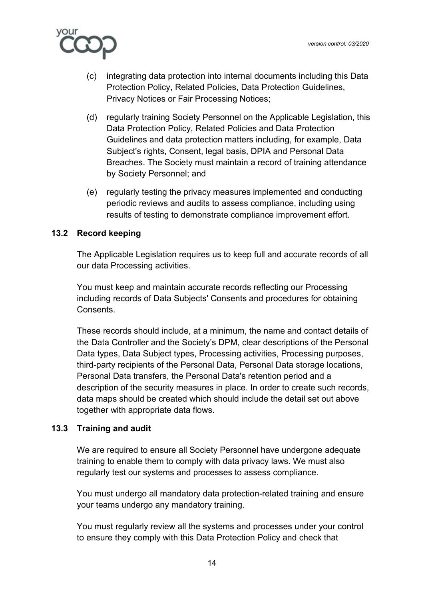

- (c) integrating data protection into internal documents including this Data Protection Policy, Related Policies, Data Protection Guidelines, Privacy Notices or Fair Processing Notices;
- (d) regularly training Society Personnel on the Applicable Legislation, this Data Protection Policy, Related Policies and Data Protection Guidelines and data protection matters including, for example, Data Subject's rights, Consent, legal basis, DPIA and Personal Data Breaches. The Society must maintain a record of training attendance by Society Personnel; and
- (e) regularly testing the privacy measures implemented and conducting periodic reviews and audits to assess compliance, including using results of testing to demonstrate compliance improvement effort.

## **13.2 Record keeping**

The Applicable Legislation requires us to keep full and accurate records of all our data Processing activities.

You must keep and maintain accurate records reflecting our Processing including records of Data Subjects' Consents and procedures for obtaining **Consents** 

These records should include, at a minimum, the name and contact details of the Data Controller and the Society's DPM, clear descriptions of the Personal Data types, Data Subject types, Processing activities, Processing purposes, third-party recipients of the Personal Data, Personal Data storage locations, Personal Data transfers, the Personal Data's retention period and a description of the security measures in place. In order to create such records, data maps should be created which should include the detail set out above together with appropriate data flows.

## **13.3 Training and audit**

We are required to ensure all Society Personnel have undergone adequate training to enable them to comply with data privacy laws. We must also regularly test our systems and processes to assess compliance.

You must undergo all mandatory data protection-related training and ensure your teams undergo any mandatory training.

You must regularly review all the systems and processes under your control to ensure they comply with this Data Protection Policy and check that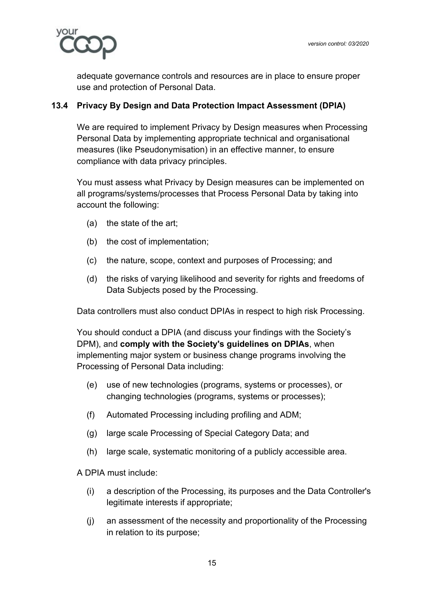

adequate governance controls and resources are in place to ensure proper use and protection of Personal Data.

## **13.4 Privacy By Design and Data Protection Impact Assessment (DPIA)**

We are required to implement Privacy by Design measures when Processing Personal Data by implementing appropriate technical and organisational measures (like Pseudonymisation) in an effective manner, to ensure compliance with data privacy principles.

You must assess what Privacy by Design measures can be implemented on all programs/systems/processes that Process Personal Data by taking into account the following:

- (a) the state of the art;
- (b) the cost of implementation;
- (c) the nature, scope, context and purposes of Processing; and
- (d) the risks of varying likelihood and severity for rights and freedoms of Data Subjects posed by the Processing.

Data controllers must also conduct DPIAs in respect to high risk Processing.

You should conduct a DPIA (and discuss your findings with the Society's DPM), and **comply with the Society's guidelines on DPIAs**, when implementing major system or business change programs involving the Processing of Personal Data including:

- (e) use of new technologies (programs, systems or processes), or changing technologies (programs, systems or processes);
- (f) Automated Processing including profiling and ADM;
- (g) large scale Processing of Special Category Data; and
- (h) large scale, systematic monitoring of a publicly accessible area.

A DPIA must include:

- (i) a description of the Processing, its purposes and the Data Controller's legitimate interests if appropriate;
- (j) an assessment of the necessity and proportionality of the Processing in relation to its purpose;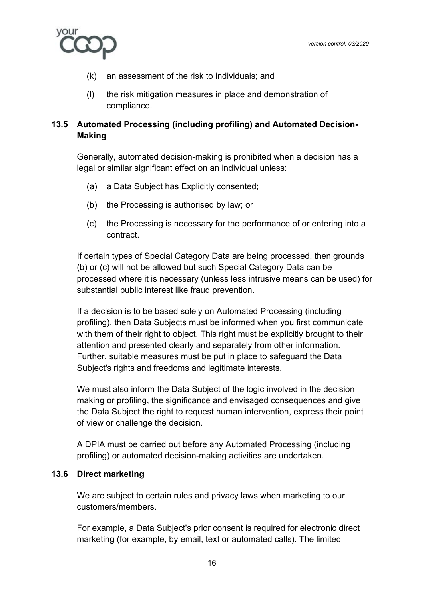

- (k) an assessment of the risk to individuals; and
- (l) the risk mitigation measures in place and demonstration of compliance.

# **13.5 Automated Processing (including profiling) and Automated Decision-Making**

Generally, automated decision-making is prohibited when a decision has a legal or similar significant effect on an individual unless:

- (a) a Data Subject has Explicitly consented;
- (b) the Processing is authorised by law; or
- (c) the Processing is necessary for the performance of or entering into a contract.

If certain types of Special Category Data are being processed, then grounds (b) or (c) will not be allowed but such Special Category Data can be processed where it is necessary (unless less intrusive means can be used) for substantial public interest like fraud prevention.

If a decision is to be based solely on Automated Processing (including profiling), then Data Subjects must be informed when you first communicate with them of their right to object. This right must be explicitly brought to their attention and presented clearly and separately from other information. Further, suitable measures must be put in place to safeguard the Data Subject's rights and freedoms and legitimate interests.

We must also inform the Data Subject of the logic involved in the decision making or profiling, the significance and envisaged consequences and give the Data Subject the right to request human intervention, express their point of view or challenge the decision.

A DPIA must be carried out before any Automated Processing (including profiling) or automated decision-making activities are undertaken.

## **13.6 Direct marketing**

We are subject to certain rules and privacy laws when marketing to our customers/members.

For example, a Data Subject's prior consent is required for electronic direct marketing (for example, by email, text or automated calls). The limited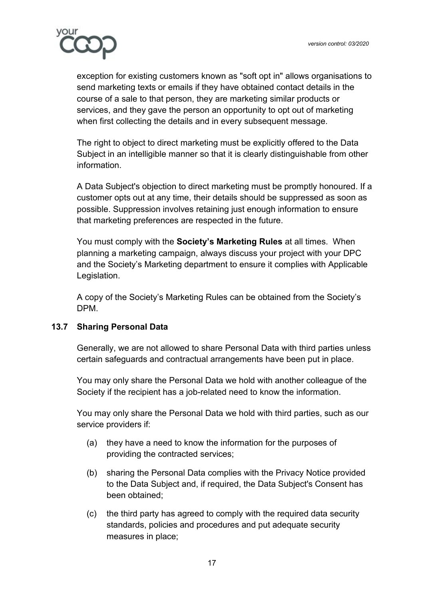

exception for existing customers known as "soft opt in" allows organisations to send marketing texts or emails if they have obtained contact details in the course of a sale to that person, they are marketing similar products or services, and they gave the person an opportunity to opt out of marketing when first collecting the details and in every subsequent message.

The right to object to direct marketing must be explicitly offered to the Data Subject in an intelligible manner so that it is clearly distinguishable from other information.

A Data Subject's objection to direct marketing must be promptly honoured. If a customer opts out at any time, their details should be suppressed as soon as possible. Suppression involves retaining just enough information to ensure that marketing preferences are respected in the future.

You must comply with the **Society's Marketing Rules** at all times. When planning a marketing campaign, always discuss your project with your DPC and the Society's Marketing department to ensure it complies with Applicable Legislation.

A copy of the Society's Marketing Rules can be obtained from the Society's DPM.

# **13.7 Sharing Personal Data**

Generally, we are not allowed to share Personal Data with third parties unless certain safeguards and contractual arrangements have been put in place.

You may only share the Personal Data we hold with another colleague of the Society if the recipient has a job-related need to know the information.

You may only share the Personal Data we hold with third parties, such as our service providers if:

- (a) they have a need to know the information for the purposes of providing the contracted services;
- (b) sharing the Personal Data complies with the Privacy Notice provided to the Data Subject and, if required, the Data Subject's Consent has been obtained;
- (c) the third party has agreed to comply with the required data security standards, policies and procedures and put adequate security measures in place;